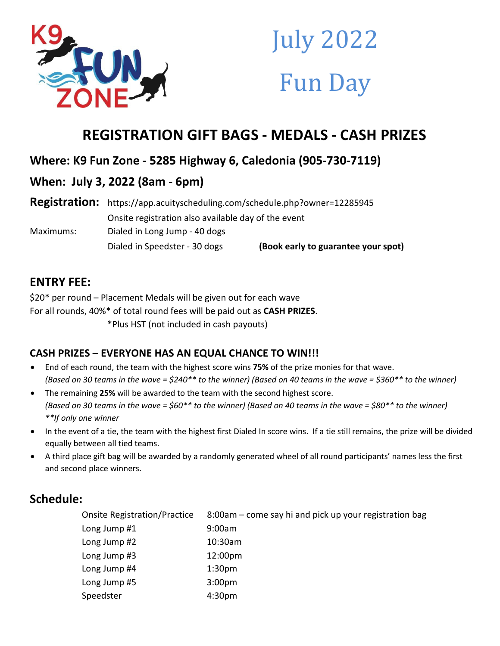

# July 2022 Fun Day

# **REGISTRATION GIFT BAGS - MEDALS - CASH PRIZES**

# **Where: K9 Fun Zone - 5285 Highway 6, Caledonia (905-730-7119)**

# **When: July 3, 2022 (8am - 6pm)**

**Registration:** https://app.acuityscheduling.com/schedule.php?owner=12285945 Onsite registration also available day of the event Maximums: Dialed in Long Jump - 40 dogs Dialed in Speedster - 30 dogs **(Book early to guarantee your spot)**

## **ENTRY FEE:**

\$20\* per round – Placement Medals will be given out for each wave For all rounds, 40%\* of total round fees will be paid out as **CASH PRIZES**. \*Plus HST (not included in cash payouts)

## **CASH PRIZES – EVERYONE HAS AN EQUAL CHANCE TO WIN!!!**

- End of each round, the team with the highest score wins **75%** of the prize monies for that wave. *(Based on 30 teams in the wave = \$240\*\* to the winner) (Based on 40 teams in the wave = \$360\*\* to the winner)*
- The remaining **25%** will be awarded to the team with the second highest score. *(Based on 30 teams in the wave = \$60\*\* to the winner) (Based on 40 teams in the wave = \$80\*\* to the winner) \*\*If only one winner*
- In the event of a tie, the team with the highest first Dialed In score wins. If a tie still remains, the prize will be divided equally between all tied teams.
- A third place gift bag will be awarded by a randomly generated wheel of all round participants' names less the first and second place winners.

# **Schedule:**

| <b>Onsite Registration/Practice</b> | 8:00am – come say hi and pick up your registration bag |
|-------------------------------------|--------------------------------------------------------|
| Long Jump #1                        | 9:00am                                                 |
| Long Jump #2                        | 10:30am                                                |
| Long Jump #3                        | 12:00 <sub>pm</sub>                                    |
| Long Jump #4                        | 1:30 <sub>pm</sub>                                     |
| Long Jump #5                        | 3:00 <sub>pm</sub>                                     |
| Speedster                           | 4:30 <sub>pm</sub>                                     |